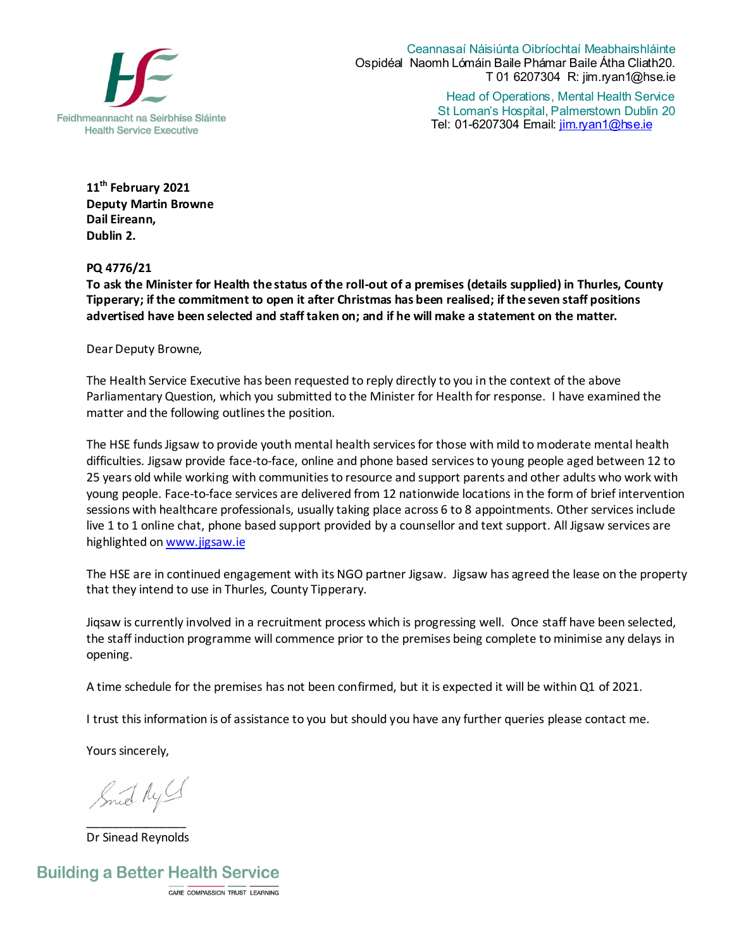

Ceannasaí Náisiúnta Oibríochtaí Meabhairshláinte Ospidéal Naomh Lómáin Baile Phámar Baile Átha Cliath20. T 01 6207304 R: jim.ryan1@hse.ie

Head of Operations, Mental Health Service St Loman's Hospital, Palmerstown Dublin 20 Tel: 01-6207304 Email: jim.ryan1@hse.ie

**11 th February 2021 Deputy Martin Browne Dail Eireann, Dublin 2.** 

**PQ 4776/21**

**To ask the Minister for Health the status of the roll-out of a premises (details supplied) in Thurles, County Tipperary; if the commitment to open it after Christmas has been realised; if the seven staff positions advertised have been selected and staff taken on; and if he will make a statement on the matter.** 

Dear Deputy Browne,

The Health Service Executive has been requested to reply directly to you in the context of the above Parliamentary Question, which you submitted to the Minister for Health for response. I have examined the matter and the following outlines the position.

The HSE funds Jigsaw to provide youth mental health services for those with mild to moderate mental health difficulties. Jigsaw provide face-to-face, online and phone based services to young people aged between 12 to 25 years old while working with communities to resource and support parents and other adults who work with young people. Face-to-face services are delivered from 12 nationwide locations in the form of brief intervention sessions with healthcare professionals, usually taking place across 6 to 8 appointments. Other services include live 1 to 1 online chat, phone based support provided by a counsellor and text support. All Jigsaw services are highlighted on [www.jigsaw.ie](http://www.jigsaw.ie/)

The HSE are in continued engagement with its NGO partner Jigsaw. Jigsaw has agreed the lease on the property that they intend to use in Thurles, County Tipperary.

Jiqsaw is currently involved in a recruitment process which is progressing well. Once staff have been selected, the staff induction programme will commence prior to the premises being complete to minimise any delays in opening.

A time schedule for the premises has not been confirmed, but it is expected it will be within Q1 of 2021.

I trust this information is of assistance to you but should you have any further queries please contact me.

Yours sincerely,

Smid My

\_\_\_\_\_\_\_\_\_\_\_\_\_\_\_ Dr Sinead Reynolds